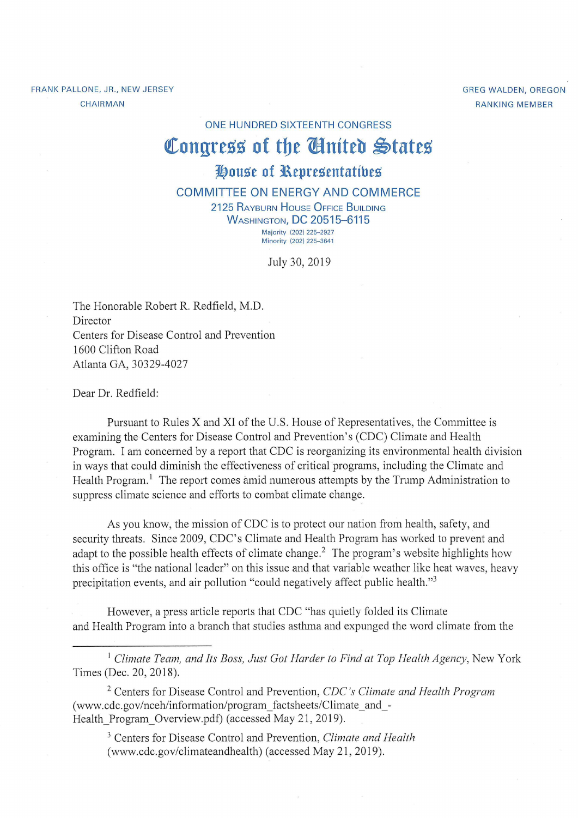FRANK PALLONE, JR., NEW JERSEY CHAIRMAN

GREG WALDEN, OREGON RANKING MEMBER

**ON E HUNDRED SIXTEENTH CONGRESS** 

## Congress of the **Chatted** States

## **J!)ouse of l\epresentatibes**

**COMMITTEE ON ENERGY AND COMMERCE** 

**2125 RAYBURN HOUSE OFFICE BUILDING** WASHINGTON, **DC 20515-6115** 

Majority (202) 225-2927 Minority (202) 225-3641

July 30, 2019

The Honorable Robert R. Redfield, M.D. Director Centers for Disease Control and Prevention 1600 Clifton Road Atlanta GA, 30329-4027

Dear Dr. Redfield:

Pursuant to Rules X and XI of the U.S. House of Representatives, the Committee is examining the Centers for Disease Control and Prevention's (CDC) Climate and Health Program. I am concerned by a report that CDC is reorganizing its environmental health division in ways that could diminish the effectiveness of critical programs, including the Climate and Health Program.<sup>1</sup> The report comes amid numerous attempts by the Trump Administration to suppress climate science and efforts to combat climate change.

As you know, the mission of CDC is to protect our nation from health, safety, and security threats. Since 2009, CDC's Climate and Health Program has worked to prevent and adapt to the possible health effects of climate change.<sup>2</sup> The program's website highlights how this office is "the national leader" on this issue and that variable weather like heat waves, heavy precipitation events, and air pollution "could negatively affect public health."<sup>3</sup>

However, a press article reports that CDC "has quietly folded its Climate and Health Program into a branch that studies asthma and expunged the word climate from the

<sup>1</sup> Climate Team, and Its Boss, Just Got Harder to Find at Top Health Agency, New York Times (Dec. 20, 2018).

2 Centers for Disease Control and Prevention, *CDC's Climate and Health Program*  (www.cdc.gov/nceh/information/program\_factsheets/Climate\_and\_- Health Program Overview.pdf) (accessed May 21, 2019).

3 Centers for Disease Control and Prevention, *Climate and Health*  (www.cdc.gov/climateandhealth) (accessed May 21 , 2019).